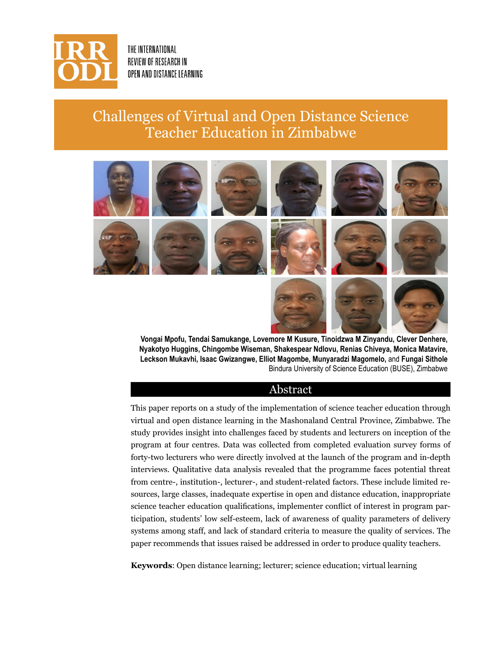

THE INTERNATIONAL REVIEW OF RESEARCH IN OPEN AND DISTANCE LEARNING

# Challenges of Virtual and Open Distance Science Teacher Education in Zimbabwe



**Vongai Mpofu, Tendai Samukange, Lovemore M Kusure, Tinoidzwa M Zinyandu, Clever Denhere, Nyakotyo Huggins, Chingombe Wiseman, Shakespear Ndlovu, Renias Chiveya, Monica Matavire, Leckson Mukavhi, Isaac Gwizangwe, Elliot Magombe, Munyaradzi Magomelo,** and **Fungai Sithole** Bindura University of Science Education (BUSE), Zimbabwe

#### Abstract

This paper reports on a study of the implementation of science teacher education through virtual and open distance learning in the Mashonaland Central Province, Zimbabwe. The study provides insight into challenges faced by students and lecturers on inception of the program at four centres. Data was collected from completed evaluation survey forms of forty-two lecturers who were directly involved at the launch of the program and in-depth interviews. Qualitative data analysis revealed that the programme faces potential threat from centre-, institution-, lecturer-, and student-related factors. These include limited resources, large classes, inadequate expertise in open and distance education, inappropriate science teacher education qualifications, implementer conflict of interest in program participation, students' low self-esteem, lack of awareness of quality parameters of delivery systems among staff, and lack of standard criteria to measure the quality of services. The paper recommends that issues raised be addressed in order to produce quality teachers.

**Keywords**: Open distance learning; lecturer; science education; virtual learning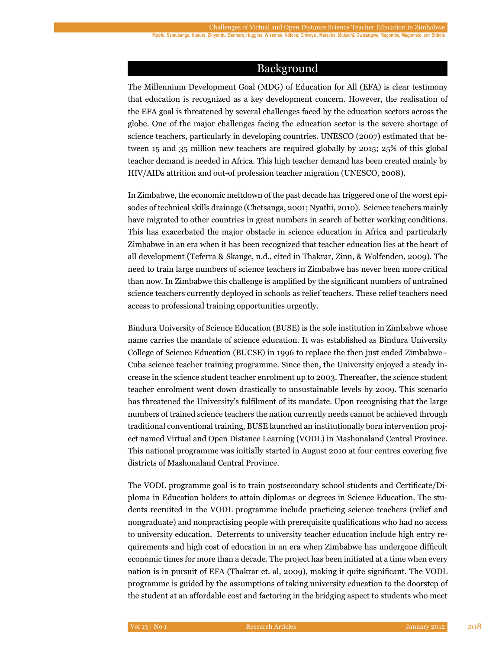#### Background

The Millennium Development Goal (MDG) of Education for All (EFA) is clear testimony that education is recognized as a key development concern. However, the realisation of the EFA goal is threatened by several challenges faced by the education sectors across the globe. One of the major challenges facing the education sector is the severe shortage of science teachers, particularly in developing countries. UNESCO (2007) estimated that between 15 and 35 million new teachers are required globally by 2015; 25% of this global teacher demand is needed in Africa. This high teacher demand has been created mainly by HIV/AIDs attrition and out-of profession teacher migration (UNESCO, 2008).

In Zimbabwe, the economic meltdown of the past decade has triggered one of the worst episodes of technical skills drainage (Chetsanga, 2001; Nyathi, 2010). Science teachers mainly have migrated to other countries in great numbers in search of better working conditions. This has exacerbated the major obstacle in science education in Africa and particularly Zimbabwe in an era when it has been recognized that teacher education lies at the heart of all development (Teferra & Skauge, n.d., cited in Thakrar, Zinn, & Wolfenden, 2009). The need to train large numbers of science teachers in Zimbabwe has never been more critical than now. In Zimbabwe this challenge is amplified by the significant numbers of untrained science teachers currently deployed in schools as relief teachers. These relief teachers need access to professional training opportunities urgently.

Bindura University of Science Education (BUSE) is the sole institution in Zimbabwe whose name carries the mandate of science education. It was established as Bindura University College of Science Education (BUCSE) in 1996 to replace the then just ended Zimbabwe– Cuba science teacher training programme. Since then, the University enjoyed a steady increase in the science student teacher enrolment up to 2003. Thereafter, the science student teacher enrolment went down drastically to unsustainable levels by 2009. This scenario has threatened the University's fulfilment of its mandate. Upon recognising that the large numbers of trained science teachers the nation currently needs cannot be achieved through traditional conventional training, BUSE launched an institutionally born intervention project named Virtual and Open Distance Learning (VODL) in Mashonaland Central Province. This national programme was initially started in August 2010 at four centres covering five districts of Mashonaland Central Province.

The VODL programme goal is to train postsecondary school students and Certificate/Diploma in Education holders to attain diplomas or degrees in Science Education. The students recruited in the VODL programme include practicing science teachers (relief and nongraduate) and nonpractising people with prerequisite qualifications who had no access to university education. Deterrents to university teacher education include high entry requirements and high cost of education in an era when Zimbabwe has undergone difficult economic times for more than a decade. The project has been initiated at a time when every nation is in pursuit of EFA (Thakrar et. al, 2009), making it quite significant. The VODL programme is guided by the assumptions of taking university education to the doorstep of the student at an affordable cost and factoring in the bridging aspect to students who meet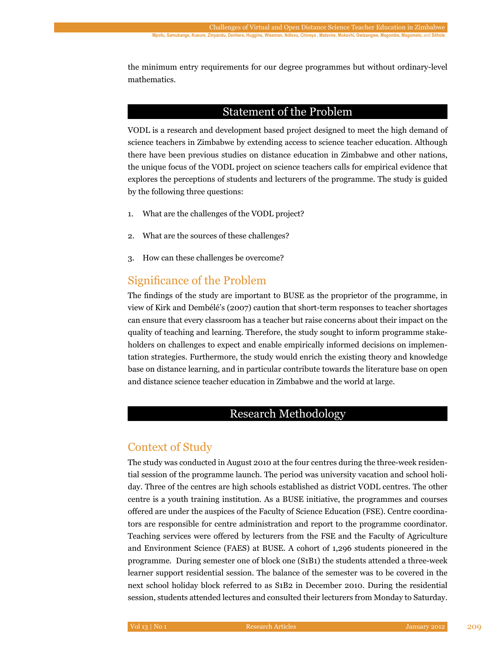the minimum entry requirements for our degree programmes but without ordinary-level mathematics.

#### Statement of the Problem

VODL is a research and development based project designed to meet the high demand of science teachers in Zimbabwe by extending access to science teacher education. Although there have been previous studies on distance education in Zimbabwe and other nations, the unique focus of the VODL project on science teachers calls for empirical evidence that explores the perceptions of students and lecturers of the programme. The study is guided by the following three questions:

- 1. What are the challenges of the VODL project?
- 2. What are the sources of these challenges?
- 3. How can these challenges be overcome?

# Significance of the Problem

The findings of the study are important to BUSE as the proprietor of the programme, in view of Kirk and Dembélé's (2007) caution that short-term responses to teacher shortages can ensure that every classroom has a teacher but raise concerns about their impact on the quality of teaching and learning. Therefore, the study sought to inform programme stakeholders on challenges to expect and enable empirically informed decisions on implementation strategies. Furthermore, the study would enrich the existing theory and knowledge base on distance learning, and in particular contribute towards the literature base on open and distance science teacher education in Zimbabwe and the world at large.

## Research Methodology

## Context of Study

The study was conducted in August 2010 at the four centres during the three-week residential session of the programme launch. The period was university vacation and school holiday. Three of the centres are high schools established as district VODL centres. The other centre is a youth training institution. As a BUSE initiative, the programmes and courses offered are under the auspices of the Faculty of Science Education (FSE). Centre coordinators are responsible for centre administration and report to the programme coordinator. Teaching services were offered by lecturers from the FSE and the Faculty of Agriculture and Environment Science (FAES) at BUSE. A cohort of 1,296 students pioneered in the programme. During semester one of block one (S1B1) the students attended a three-week learner support residential session. The balance of the semester was to be covered in the next school holiday block referred to as S1B2 in December 2010. During the residential session, students attended lectures and consulted their lecturers from Monday to Saturday.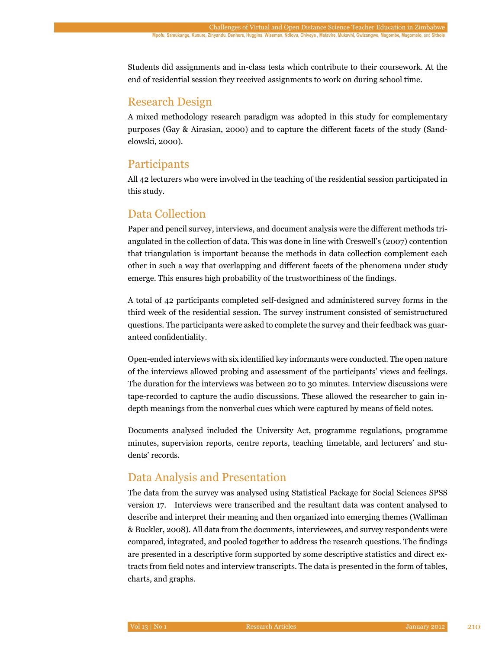Students did assignments and in-class tests which contribute to their coursework. At the end of residential session they received assignments to work on during school time.

### Research Design

A mixed methodology research paradigm was adopted in this study for complementary purposes (Gay & Airasian, 2000) and to capture the different facets of the study (Sandelowski, 2000).

# **Participants**

All 42 lecturers who were involved in the teaching of the residential session participated in this study.

#### Data Collection

Paper and pencil survey, interviews, and document analysis were the different methods triangulated in the collection of data. This was done in line with Creswell's (2007) contention that triangulation is important because the methods in data collection complement each other in such a way that overlapping and different facets of the phenomena under study emerge. This ensures high probability of the trustworthiness of the findings.

A total of 42 participants completed self-designed and administered survey forms in the third week of the residential session. The survey instrument consisted of semistructured questions. The participants were asked to complete the survey and their feedback was guaranteed confidentiality.

Open-ended interviews with six identified key informants were conducted. The open nature of the interviews allowed probing and assessment of the participants' views and feelings. The duration for the interviews was between 20 to 30 minutes. Interview discussions were tape-recorded to capture the audio discussions. These allowed the researcher to gain indepth meanings from the nonverbal cues which were captured by means of field notes.

Documents analysed included the University Act, programme regulations, programme minutes, supervision reports, centre reports, teaching timetable, and lecturers' and students' records.

## Data Analysis and Presentation

The data from the survey was analysed using Statistical Package for Social Sciences SPSS version 17. Interviews were transcribed and the resultant data was content analysed to describe and interpret their meaning and then organized into emerging themes (Walliman & Buckler, 2008). All data from the documents, interviewees, and survey respondents were compared, integrated, and pooled together to address the research questions. The findings are presented in a descriptive form supported by some descriptive statistics and direct extracts from field notes and interview transcripts. The data is presented in the form of tables, charts, and graphs.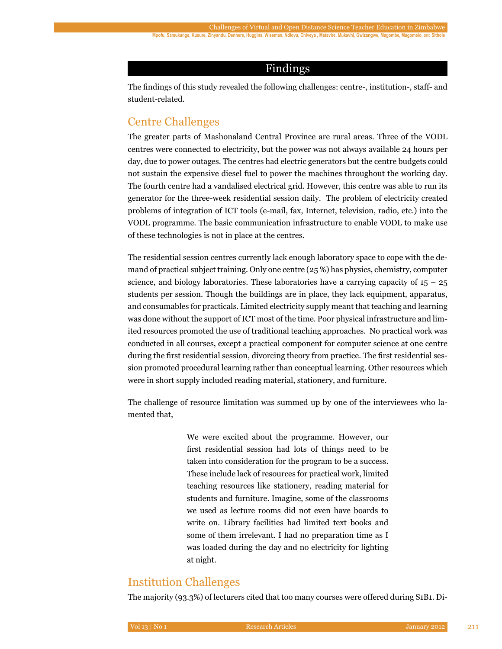## Findings

The findings of this study revealed the following challenges: centre-, institution-, staff- and student-related.

#### Centre Challenges

The greater parts of Mashonaland Central Province are rural areas. Three of the VODL centres were connected to electricity, but the power was not always available 24 hours per day, due to power outages. The centres had electric generators but the centre budgets could not sustain the expensive diesel fuel to power the machines throughout the working day. The fourth centre had a vandalised electrical grid. However, this centre was able to run its generator for the three-week residential session daily. The problem of electricity created problems of integration of ICT tools (e-mail, fax, Internet, television, radio, etc.) into the VODL programme. The basic communication infrastructure to enable VODL to make use of these technologies is not in place at the centres.

The residential session centres currently lack enough laboratory space to cope with the demand of practical subject training. Only one centre (25 %) has physics, chemistry, computer science, and biology laboratories. These laboratories have a carrying capacity of  $15 - 25$ students per session. Though the buildings are in place, they lack equipment, apparatus, and consumables for practicals. Limited electricity supply meant that teaching and learning was done without the support of ICT most of the time. Poor physical infrastructure and limited resources promoted the use of traditional teaching approaches. No practical work was conducted in all courses, except a practical component for computer science at one centre during the first residential session, divorcing theory from practice. The first residential session promoted procedural learning rather than conceptual learning. Other resources which were in short supply included reading material, stationery, and furniture.

The challenge of resource limitation was summed up by one of the interviewees who lamented that,

> We were excited about the programme. However, our first residential session had lots of things need to be taken into consideration for the program to be a success. These include lack of resources for practical work, limited teaching resources like stationery, reading material for students and furniture. Imagine, some of the classrooms we used as lecture rooms did not even have boards to write on. Library facilities had limited text books and some of them irrelevant. I had no preparation time as I was loaded during the day and no electricity for lighting at night.

## Institution Challenges

The majority (93.3%) of lecturers cited that too many courses were offered during [S1B1. Di-](S1P1.Diploma)

| Vol 13   No 1 |  |
|---------------|--|
|               |  |
|               |  |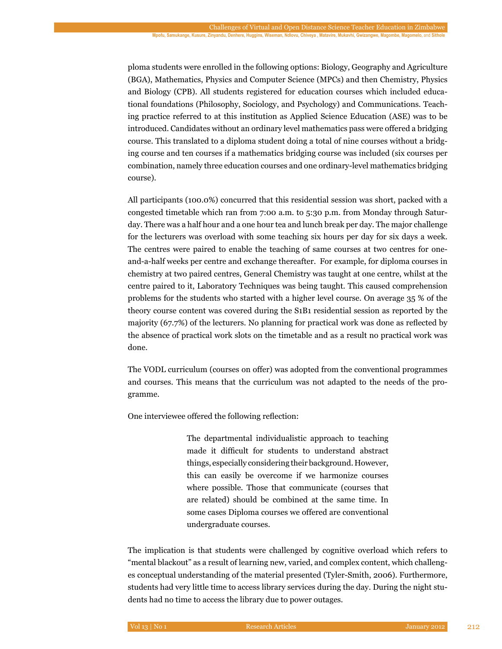[ploma](S1P1.Diploma) students were enrolled in the following options: Biology, Geography and Agriculture (BGA), Mathematics, Physics and Computer Science (MPCs) and then Chemistry, Physics and Biology (CPB). All students registered for education courses which included educational foundations (Philosophy, Sociology, and Psychology) and Communications. Teaching practice referred to at this institution as Applied Science Education (ASE) was to be introduced. Candidates without an ordinary level mathematics pass were offered a bridging course. This translated to a diploma student doing a total of nine courses without a bridging course and ten courses if a mathematics bridging course was included (six courses per combination, namely three education courses and one ordinary-level mathematics bridging course).

All participants (100.0%) concurred that this residential session was short, packed with a congested timetable which ran from 7:00 a.m. to 5:30 p.m. from Monday through Saturday. There was a half hour and a one hour tea and lunch break per day. The major challenge for the lecturers was overload with some teaching six hours per day for six days a week. The centres were paired to enable the teaching of same courses at two centres for oneand-a-half weeks per centre and exchange thereafter. For example, for diploma courses in chemistry at two paired centres, General Chemistry was taught at one centre, whilst at the centre paired to it, Laboratory Techniques was being taught. This caused comprehension problems for the students who started with a higher level course. On average 35 % of the theory course content was covered during the S1B1 residential session as reported by the majority (67.7%) of the lecturers. No planning for practical work was done as reflected by the absence of practical work slots on the timetable and as a result no practical work was done.

The VODL curriculum (courses on offer) was adopted from the conventional programmes and courses. This means that the curriculum was not adapted to the needs of the programme.

One interviewee offered the following reflection:

The departmental individualistic approach to teaching made it difficult for students to understand abstract things, especially considering their background. However, this can easily be overcome if we harmonize courses where possible. Those that communicate (courses that are related) should be combined at the same time. In some cases Diploma courses we offered are conventional undergraduate courses.

The implication is that students were challenged by cognitive overload which refers to "mental blackout" as a result of learning new, varied, and complex content, which challenges conceptual understanding of the material presented (Tyler-Smith, 2006). Furthermore, students had very little time to access library services during the day. During the night students had no time to access the library due to power outages.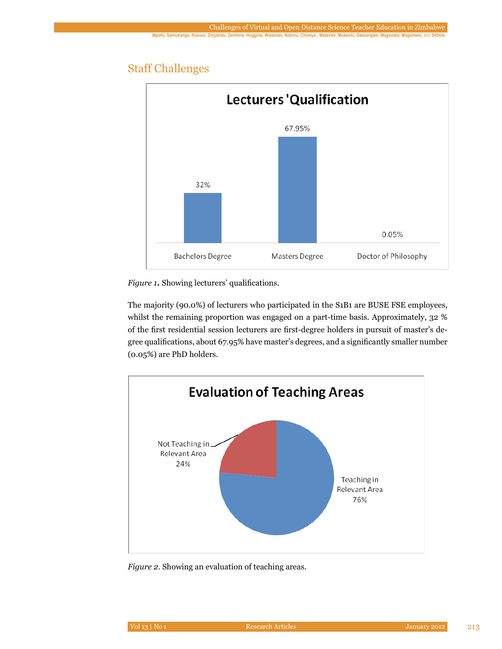# Staff Challenges



*Figure 1***.** Showing lecturers' qualifications.

The majority (90.0%) of lecturers who participated in the S1B1 are BUSE FSE employees, whilst the remaining proportion was engaged on a part-time basis. Approximately, 32 % of the first residential session lecturers are first-degree holders in pursuit of master's degree qualifications, about 67.95% have master's degrees, and a significantly smaller number (0.05%) are PhD holders.



*Figure 2.* Showing an evaluation of teaching areas.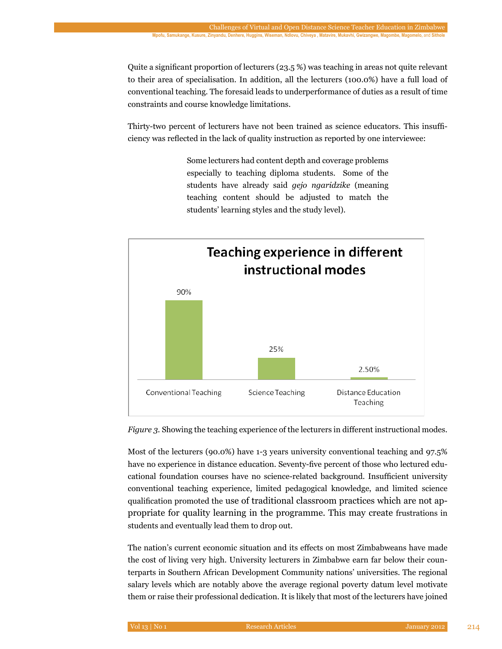Quite a significant proportion of lecturers (23.5 %) was teaching in areas not quite relevant to their area of specialisation. In addition, all the lecturers (100.0%) have a full load of conventional teaching. The foresaid leads to underperformance of duties as a result of time constraints and course knowledge limitations.

Thirty-two percent of lecturers have not been trained as science educators. This insufficiency was reflected in the lack of quality instruction as reported by one interviewee:

> Some lecturers had content depth and coverage problems especially to teaching diploma students. Some of the students have already said *gejo ngaridzike* (meaning teaching content should be adjusted to match the students' learning styles and the study level).



*Figure 3.* Showing the teaching experience of the lecturers in different instructional modes.

Most of the lecturers (90.0%) have 1-3 years university conventional teaching and 97.5% have no experience in distance education. Seventy-five percent of those who lectured educational foundation courses have no science-related background. Insufficient university conventional teaching experience, limited pedagogical knowledge, and limited science qualification promoted the use of traditional classroom practices which are not appropriate for quality learning in the programme. This may create frustrations in students and eventually lead them to drop out.

The nation's current economic situation and its effects on most Zimbabweans have made the cost of living very high. University lecturers in Zimbabwe earn far below their counterparts in Southern African Development Community nations' universities. The regional salary levels which are notably above the average regional poverty datum level motivate them or raise their professional dedication. It is likely that most of the lecturers have joined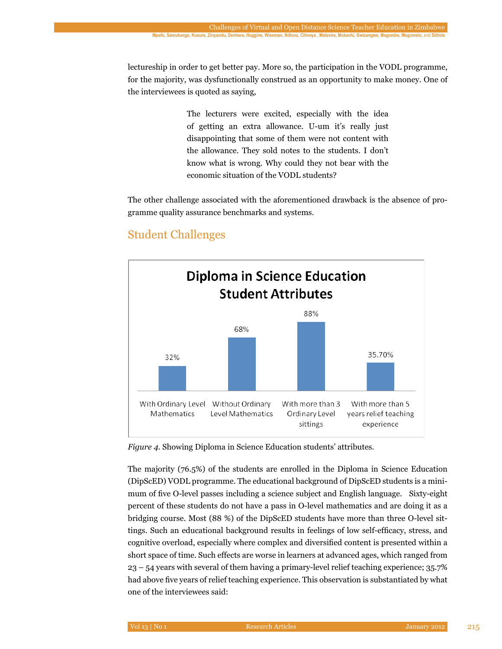lectureship in order to get better pay. More so, the participation in the VODL programme, for the majority, was dysfunctionally construed as an opportunity to make money. One of the interviewees is quoted as saying,

> The lecturers were excited, especially with the idea of getting an extra allowance. U-um it's really just disappointing that some of them were not content with the allowance. They sold notes to the students. I don't know what is wrong. Why could they not bear with the economic situation of the VODL students?

The other challenge associated with the aforementioned drawback is the absence of programme quality assurance benchmarks and systems.



# Student Challenges

*Figure 4.* Showing Diploma in Science Education students' attributes.

The majority (76.5%) of the students are enrolled in the Diploma in Science Education (DipScED) VODL programme. The educational background of DipScED students is a minimum of five O-level passes including a science subject and English language. Sixty-eight percent of these students do not have a pass in O-level mathematics and are doing it as a bridging course. Most (88 %) of the DipScED students have more than three O-level sittings. Such an educational background results in feelings of low self-efficacy, stress, and cognitive overload, especially where complex and diversified content is presented within a short space of time. Such effects are worse in learners at advanced ages, which ranged from 23 – 54 years with several of them having a primary-level relief teaching experience; 35.7% had above five years of relief teaching experience. This observation is substantiated by what one of the interviewees said: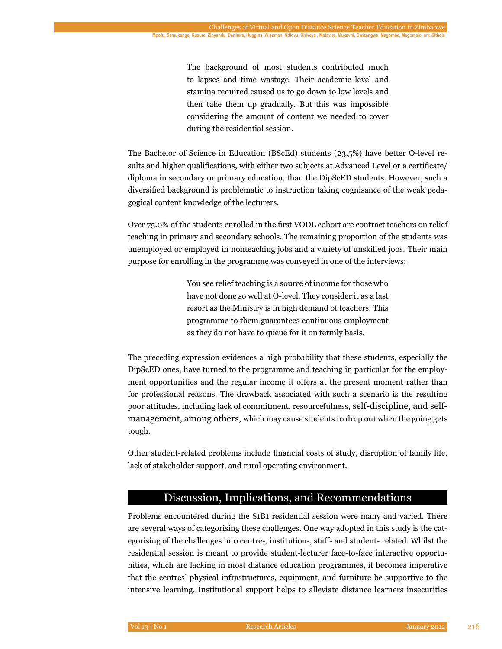The background of most students contributed much to lapses and time wastage. Their academic level and stamina required caused us to go down to low levels and then take them up gradually. But this was impossible considering the amount of content we needed to cover during the residential session.

The Bachelor of Science in Education (BScEd) students (23.5%) have better O-level results and higher qualifications, with either two subjects at Advanced Level or a certificate/ diploma in secondary or primary education, than the DipScED students. However, such a diversified background is problematic to instruction taking cognisance of the weak pedagogical content knowledge of the lecturers.

Over 75.0% of the students enrolled in the first VODL cohort are contract teachers on relief teaching in primary and secondary schools. The remaining proportion of the students was unemployed or employed in nonteaching jobs and a variety of unskilled jobs. Their main purpose for enrolling in the programme was conveyed in one of the interviews:

> You see relief teaching is a source of income for those who have not done so well at O-level. They consider it as a last resort as the Ministry is in high demand of teachers. This programme to them guarantees continuous employment as they do not have to queue for it on termly basis.

The preceding expression evidences a high probability that these students, especially the DipScED ones, have turned to the programme and teaching in particular for the employment opportunities and the regular income it offers at the present moment rather than for professional reasons. The drawback associated with such a scenario is the resulting poor attitudes, including lack of commitment, resourcefulness, self-discipline, and selfmanagement, among others, which may cause students to drop out when the going gets tough.

Other student-related problems include financial costs of study, disruption of family life, lack of stakeholder support, and rural operating environment.

#### Discussion, Implications, and Recommendations

Problems encountered during the S1B1 residential session were many and varied. There are several ways of categorising these challenges. One way adopted in this study is the categorising of the challenges into centre-, institution-, staff- and student- related. Whilst the residential session is meant to provide student-lecturer face-to-face interactive opportunities, which are lacking in most distance education programmes, it becomes imperative that the centres' physical infrastructures, equipment, and furniture be supportive to the intensive learning. Institutional support helps to alleviate distance learners insecurities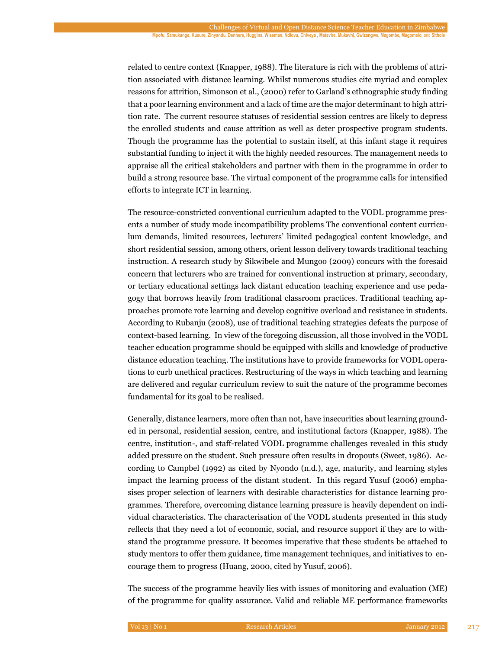related to centre context (Knapper, 1988). The literature is rich with the problems of attrition associated with distance learning. Whilst numerous studies cite myriad and complex reasons for attrition, Simonson et al., (2000) refer to Garland's ethnographic study finding that a poor learning environment and a lack of time are the major determinant to high attrition rate. The current resource statuses of residential session centres are likely to depress the enrolled students and cause attrition as well as deter prospective program students. Though the programme has the potential to sustain itself, at this infant stage it requires substantial funding to inject it with the highly needed resources. The management needs to appraise all the critical stakeholders and partner with them in the programme in order to build a strong resource base. The virtual component of the programme calls for intensified efforts to integrate ICT in learning.

The resource-constricted conventional curriculum adapted to the VODL programme presents a number of study mode incompatibility problems The conventional content curriculum demands, limited resources, lecturers' limited pedagogical content knowledge, and short residential session, among others, orient lesson delivery towards traditional teaching instruction. A research study by Sikwibele and Mungoo (2009) concurs with the foresaid concern that lecturers who are trained for conventional instruction at primary, secondary, or tertiary educational settings lack distant education teaching experience and use pedagogy that borrows heavily from traditional classroom practices. Traditional teaching approaches promote rote learning and develop cognitive overload and resistance in students. According to Rubanju (2008), use of traditional teaching strategies defeats the purpose of context-based learning. In view of the foregoing discussion, all those involved in the VODL teacher education programme should be equipped with skills and knowledge of productive distance education teaching. The institutions have to provide frameworks for VODL operations to curb unethical practices. Restructuring of the ways in which teaching and learning are delivered and regular curriculum review to suit the nature of the programme becomes fundamental for its goal to be realised.

Generally, distance learners, more often than not, have insecurities about learning grounded in personal, residential session, centre, and institutional factors (Knapper, 1988). The centre, institution-, and staff-related VODL programme challenges revealed in this study added pressure on the student. Such pressure often results in dropouts (Sweet, 1986). According to Campbel (1992) as cited by Nyondo (n.d.), age, maturity, and learning styles impact the learning process of the distant student. In this regard Yusuf (2006) emphasises proper selection of learners with desirable characteristics for distance learning programmes. Therefore, overcoming distance learning pressure is heavily dependent on individual characteristics. The characterisation of the VODL students presented in this study reflects that they need a lot of economic, social, and resource support if they are to withstand the programme pressure. It becomes imperative that these students be attached to study mentors to offer them guidance, time management techniques, and initiatives to encourage them to progress (Huang, 2000, cited by Yusuf, 2006).

The success of the programme heavily lies with issues of monitoring and evaluation (ME) of the programme for quality assurance. Valid and reliable ME performance frameworks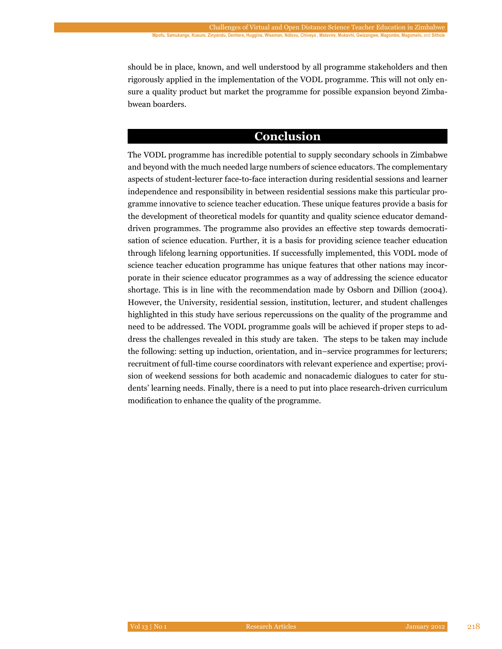should be in place, known, and well understood by all programme stakeholders and then rigorously applied in the implementation of the VODL programme. This will not only ensure a quality product but market the programme for possible expansion beyond Zimbabwean boarders.

#### **Conclusion**

The VODL programme has incredible potential to supply secondary schools in Zimbabwe and beyond with the much needed large numbers of science educators. The complementary aspects of student-lecturer face-to-face interaction during residential sessions and learner independence and responsibility in between residential sessions make this particular programme innovative to science teacher education. These unique features provide a basis for the development of theoretical models for quantity and quality science educator demanddriven programmes. The programme also provides an effective step towards democratisation of science education. Further, it is a basis for providing science teacher education through lifelong learning opportunities. If successfully implemented, this VODL mode of science teacher education programme has unique features that other nations may incorporate in their science educator programmes as a way of addressing the science educator shortage. This is in line with the recommendation made by Osborn and Dillion (2004). However, the University, residential session, institution, lecturer, and student challenges highlighted in this study have serious repercussions on the quality of the programme and need to be addressed. The VODL programme goals will be achieved if proper steps to address the challenges revealed in this study are taken. The steps to be taken may include the following: setting up induction, orientation, and in–service programmes for lecturers; recruitment of full-time course coordinators with relevant experience and expertise; provision of weekend sessions for both academic and nonacademic dialogues to cater for students' learning needs. Finally, there is a need to put into place research-driven curriculum modification to enhance the quality of the programme.